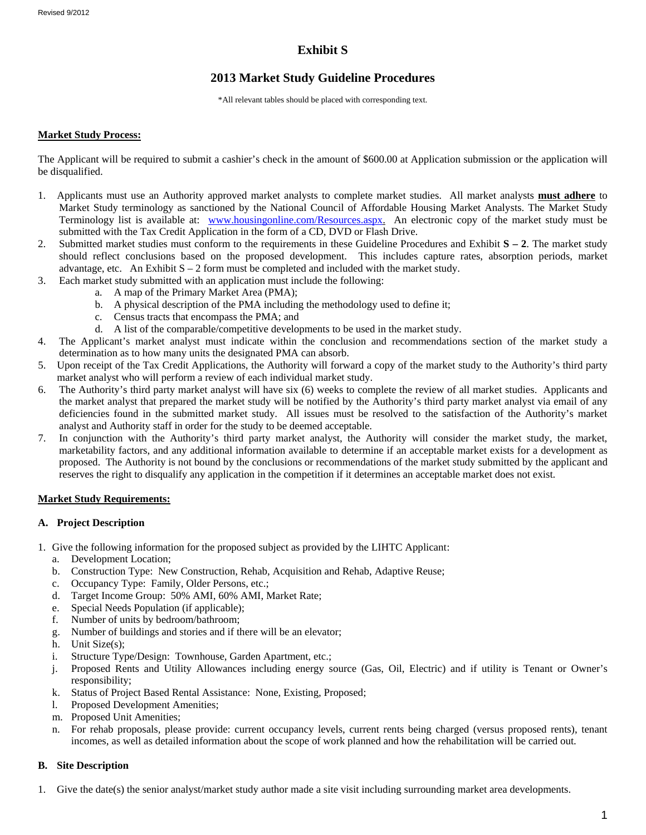# **Exhibit S**

# **2013 Market Study Guideline Procedures**

\*All relevant tables should be placed with corresponding text.

#### **Market Study Process:**

The Applicant will be required to submit a cashier's check in the amount of \$600.00 at Application submission or the application will be disqualified.

- 1. Applicants must use an Authority approved market analysts to complete market studies. All market analysts **must adhere** to Market Study terminology as sanctioned by the National Council of Affordable Housing Market Analysts. The Market Study Terminology list is available at: [www.housingonline.com/Resources.aspx.](http://www.housingonline.com/Resources.aspx) An electronic copy of the market study must be submitted with the Tax Credit Application in the form of a CD, DVD or Flash Drive.
- 2. Submitted market studies must conform to the requirements in these Guideline Procedures and Exhibit **S – 2**. The market study should reflect conclusions based on the proposed development. This includes capture rates, absorption periods, market advantage, etc. An Exhibit  $S - 2$  form must be completed and included with the market study.
- 3. Each market study submitted with an application must include the following:
	- a. A map of the Primary Market Area (PMA);
	- b. A physical description of the PMA including the methodology used to define it;
	- c. Census tracts that encompass the PMA; and
	- d. A list of the comparable/competitive developments to be used in the market study.
- 4. The Applicant's market analyst must indicate within the conclusion and recommendations section of the market study a determination as to how many units the designated PMA can absorb.
- 5. Upon receipt of the Tax Credit Applications, the Authority will forward a copy of the market study to the Authority's third party market analyst who will perform a review of each individual market study.
- 6. The Authority's third party market analyst will have six (6) weeks to complete the review of all market studies. Applicants and the market analyst that prepared the market study will be notified by the Authority's third party market analyst via email of any deficiencies found in the submitted market study. All issues must be resolved to the satisfaction of the Authority's market analyst and Authority staff in order for the study to be deemed acceptable.
- 7. In conjunction with the Authority's third party market analyst, the Authority will consider the market study, the market, marketability factors, and any additional information available to determine if an acceptable market exists for a development as proposed. The Authority is not bound by the conclusions or recommendations of the market study submitted by the applicant and reserves the right to disqualify any application in the competition if it determines an acceptable market does not exist.

### **Market Study Requirements:**

### **A. Project Description**

- 1. Give the following information for the proposed subject as provided by the LIHTC Applicant:
	- a. Development Location;
	- b. Construction Type: New Construction, Rehab, Acquisition and Rehab, Adaptive Reuse;
	- c. Occupancy Type: Family, Older Persons, etc.;
	- d. Target Income Group: 50% AMI, 60% AMI, Market Rate;
	- e. Special Needs Population (if applicable);
	- f. Number of units by bedroom/bathroom;
	- g. Number of buildings and stories and if there will be an elevator;
	- h. Unit Size(s);
	- i. Structure Type/Design: Townhouse, Garden Apartment, etc.;
	- j. Proposed Rents and Utility Allowances including energy source (Gas, Oil, Electric) and if utility is Tenant or Owner's responsibility;
	- k. Status of Project Based Rental Assistance: None, Existing, Proposed;
	- l. Proposed Development Amenities;
	- m. Proposed Unit Amenities;
	- n. For rehab proposals, please provide: current occupancy levels, current rents being charged (versus proposed rents), tenant incomes, as well as detailed information about the scope of work planned and how the rehabilitation will be carried out.

### **B. Site Description**

1. Give the date(s) the senior analyst/market study author made a site visit including surrounding market area developments.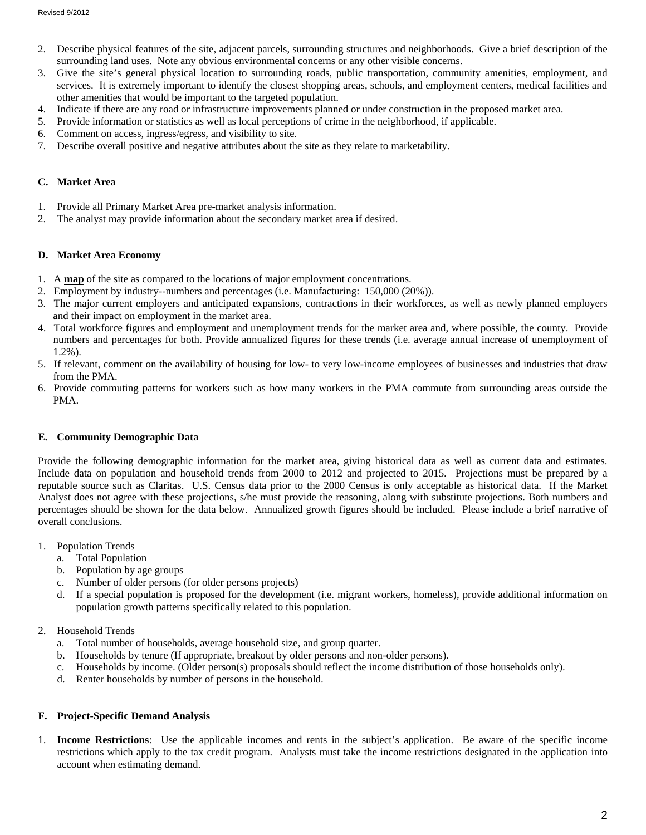- 2. Describe physical features of the site, adjacent parcels, surrounding structures and neighborhoods. Give a brief description of the surrounding land uses. Note any obvious environmental concerns or any other visible concerns.
- 3. Give the site's general physical location to surrounding roads, public transportation, community amenities, employment, and services. It is extremely important to identify the closest shopping areas, schools, and employment centers, medical facilities and other amenities that would be important to the targeted population.
- 4. Indicate if there are any road or infrastructure improvements planned or under construction in the proposed market area.
- 5. Provide information or statistics as well as local perceptions of crime in the neighborhood, if applicable.
- 6. Comment on access, ingress/egress, and visibility to site.
- 7. Describe overall positive and negative attributes about the site as they relate to marketability.

#### **C. Market Area**

- 1. Provide all Primary Market Area pre-market analysis information.
- 2. The analyst may provide information about the secondary market area if desired.

#### **D. Market Area Economy**

- 1. A **map** of the site as compared to the locations of major employment concentrations.
- 2. Employment by industry--numbers and percentages (i.e. Manufacturing: 150,000 (20%)).
- 3. The major current employers and anticipated expansions, contractions in their workforces, as well as newly planned employers and their impact on employment in the market area.
- 4. Total workforce figures and employment and unemployment trends for the market area and, where possible, the county. Provide numbers and percentages for both. Provide annualized figures for these trends (i.e. average annual increase of unemployment of 1.2%).
- 5. If relevant, comment on the availability of housing for low- to very low-income employees of businesses and industries that draw from the PMA.
- 6. Provide commuting patterns for workers such as how many workers in the PMA commute from surrounding areas outside the PMA.

### **E. Community Demographic Data**

Provide the following demographic information for the market area, giving historical data as well as current data and estimates. Include data on population and household trends from 2000 to 2012 and projected to 2015. Projections must be prepared by a reputable source such as Claritas. U.S. Census data prior to the 2000 Census is only acceptable as historical data. If the Market Analyst does not agree with these projections, s/he must provide the reasoning, along with substitute projections. Both numbers and percentages should be shown for the data below. Annualized growth figures should be included. Please include a brief narrative of overall conclusions.

- 1. Population Trends
	- a. Total Population
	- b. Population by age groups
	- c. Number of older persons (for older persons projects)
	- d. If a special population is proposed for the development (i.e. migrant workers, homeless), provide additional information on population growth patterns specifically related to this population.
- 2. Household Trends
	- a. Total number of households, average household size, and group quarter.
	- b. Households by tenure (If appropriate, breakout by older persons and non-older persons).
	- c. Households by income. (Older person(s) proposals should reflect the income distribution of those households only).
	- d. Renter households by number of persons in the household.

### **F. Project-Specific Demand Analysis**

1. **Income Restrictions**: Use the applicable incomes and rents in the subject's application. Be aware of the specific income restrictions which apply to the tax credit program. Analysts must take the income restrictions designated in the application into account when estimating demand.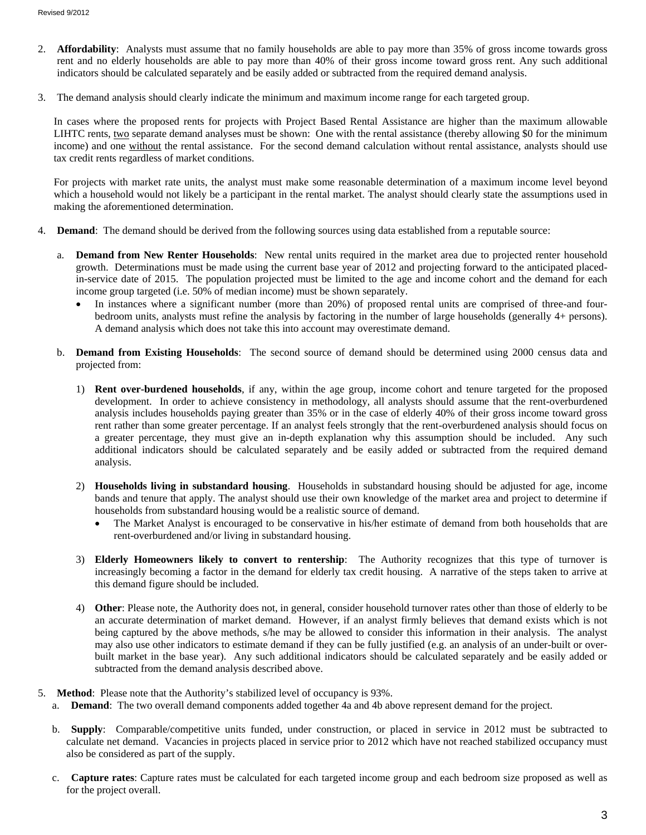- 2. **Affordability**: Analysts must assume that no family households are able to pay more than 35% of gross income towards gross rent and no elderly households are able to pay more than 40% of their gross income toward gross rent. Any such additional indicators should be calculated separately and be easily added or subtracted from the required demand analysis.
- 3. The demand analysis should clearly indicate the minimum and maximum income range for each targeted group.

In cases where the proposed rents for projects with Project Based Rental Assistance are higher than the maximum allowable LIHTC rents, two separate demand analyses must be shown: One with the rental assistance (thereby allowing \$0 for the minimum income) and one without the rental assistance. For the second demand calculation without rental assistance, analysts should use tax credit rents regardless of market conditions.

For projects with market rate units, the analyst must make some reasonable determination of a maximum income level beyond which a household would not likely be a participant in the rental market. The analyst should clearly state the assumptions used in making the aforementioned determination.

- 4. **Demand**: The demand should be derived from the following sources using data established from a reputable source:
	- a. **Demand from New Renter Households**: New rental units required in the market area due to projected renter household growth. Determinations must be made using the current base year of 2012 and projecting forward to the anticipated placedin-service date of 2015. The population projected must be limited to the age and income cohort and the demand for each income group targeted (i.e. 50% of median income) must be shown separately.
		- In instances where a significant number (more than 20%) of proposed rental units are comprised of three-and fourbedroom units, analysts must refine the analysis by factoring in the number of large households (generally 4+ persons). A demand analysis which does not take this into account may overestimate demand.
	- b. **Demand from Existing Households**: The second source of demand should be determined using 2000 census data and projected from:
		- 1) **Rent over-burdened households**, if any, within the age group, income cohort and tenure targeted for the proposed development. In order to achieve consistency in methodology, all analysts should assume that the rent-overburdened analysis includes households paying greater than 35% or in the case of elderly 40% of their gross income toward gross rent rather than some greater percentage. If an analyst feels strongly that the rent-overburdened analysis should focus on a greater percentage, they must give an in-depth explanation why this assumption should be included. Any such additional indicators should be calculated separately and be easily added or subtracted from the required demand analysis.
		- 2) **Households living in substandard housing**. Households in substandard housing should be adjusted for age, income bands and tenure that apply. The analyst should use their own knowledge of the market area and project to determine if households from substandard housing would be a realistic source of demand.
			- The Market Analyst is encouraged to be conservative in his/her estimate of demand from both households that are rent-overburdened and/or living in substandard housing.
		- 3) **Elderly Homeowners likely to convert to rentership**: The Authority recognizes that this type of turnover is increasingly becoming a factor in the demand for elderly tax credit housing. A narrative of the steps taken to arrive at this demand figure should be included.
		- 4) **Other**: Please note, the Authority does not, in general, consider household turnover rates other than those of elderly to be an accurate determination of market demand. However, if an analyst firmly believes that demand exists which is not being captured by the above methods, s/he may be allowed to consider this information in their analysis. The analyst may also use other indicators to estimate demand if they can be fully justified (e.g. an analysis of an under-built or overbuilt market in the base year). Any such additional indicators should be calculated separately and be easily added or subtracted from the demand analysis described above.
- 5. **Method**: Please note that the Authority's stabilized level of occupancy is 93%.
	- a. **Demand**: The two overall demand components added together 4a and 4b above represent demand for the project.
		- b. **Supply**: Comparable/competitive units funded, under construction, or placed in service in 2012 must be subtracted to calculate net demand. Vacancies in projects placed in service prior to 2012 which have not reached stabilized occupancy must also be considered as part of the supply.
		- c. **Capture rates**: Capture rates must be calculated for each targeted income group and each bedroom size proposed as well as for the project overall.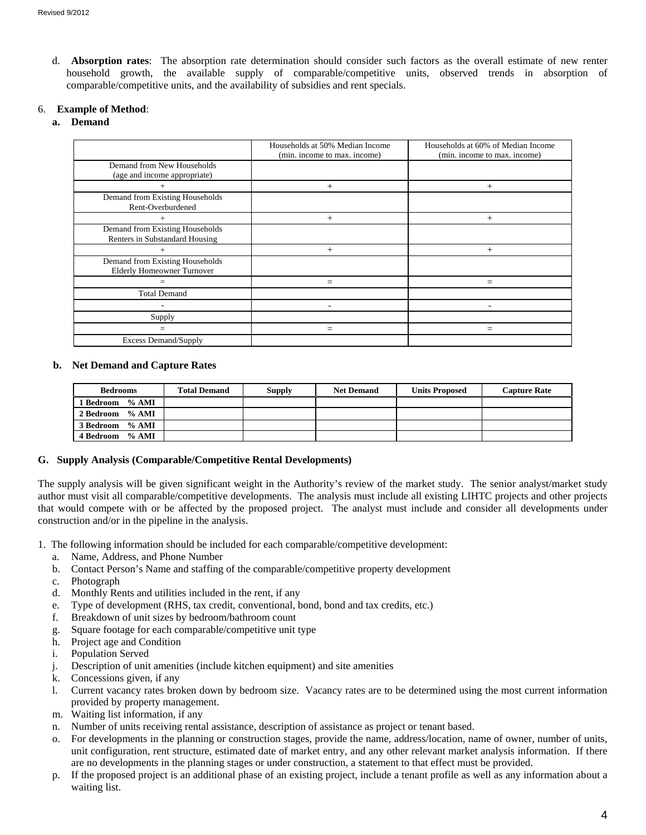d. **Absorption rates**: The absorption rate determination should consider such factors as the overall estimate of new renter household growth, the available supply of comparable/competitive units, observed trends in absorption of comparable/competitive units, and the availability of subsidies and rent specials.

## 6. **Example of Method**:

## **a. Demand**

|                                                                      | Households at 50% Median Income<br>(min. income to max. income) | Households at 60% of Median Income<br>(min. income to max. income) |  |
|----------------------------------------------------------------------|-----------------------------------------------------------------|--------------------------------------------------------------------|--|
| Demand from New Households<br>(age and income appropriate)           |                                                                 |                                                                    |  |
| $+$                                                                  | $^{+}$                                                          | $^{+}$                                                             |  |
| Demand from Existing Households<br>Rent-Overburdened                 |                                                                 |                                                                    |  |
| $^+$                                                                 | $^{+}$                                                          | $^{+}$                                                             |  |
| Demand from Existing Households<br>Renters in Substandard Housing    |                                                                 |                                                                    |  |
| $^+$                                                                 | $^{+}$                                                          | $^{+}$                                                             |  |
| Demand from Existing Households<br><b>Elderly Homeowner Turnover</b> |                                                                 |                                                                    |  |
| $=$                                                                  | =                                                               | $=$                                                                |  |
| <b>Total Demand</b>                                                  |                                                                 |                                                                    |  |
|                                                                      |                                                                 |                                                                    |  |
| Supply                                                               |                                                                 |                                                                    |  |
| $=$                                                                  | $=$                                                             | $=$                                                                |  |
| <b>Excess Demand/Supply</b>                                          |                                                                 |                                                                    |  |

### **b. Net Demand and Capture Rates**

| <b>Bedrooms</b> | <b>Total Demand</b> | <b>Supply</b> | <b>Net Demand</b> | <b>Units Proposed</b> | <b>Capture Rate</b> |
|-----------------|---------------------|---------------|-------------------|-----------------------|---------------------|
| 1 Bedroom % AMI |                     |               |                   |                       |                     |
| 2 Bedroom % AMI |                     |               |                   |                       |                     |
| 3 Bedroom % AMI |                     |               |                   |                       |                     |
| 4 Bedroom % AMI |                     |               |                   |                       |                     |

### **G. Supply Analysis (Comparable/Competitive Rental Developments)**

The supply analysis will be given significant weight in the Authority's review of the market study. The senior analyst/market study author must visit all comparable/competitive developments. The analysis must include all existing LIHTC projects and other projects that would compete with or be affected by the proposed project. The analyst must include and consider all developments under construction and/or in the pipeline in the analysis.

- 1. The following information should be included for each comparable/competitive development:
	- a. Name, Address, and Phone Number
	- b. Contact Person's Name and staffing of the comparable/competitive property development
	- c. Photograph
	- d. Monthly Rents and utilities included in the rent, if any
	- e. Type of development (RHS, tax credit, conventional, bond, bond and tax credits, etc.)
	- f. Breakdown of unit sizes by bedroom/bathroom count
	- g. Square footage for each comparable/competitive unit type
	- h. Project age and Condition
	- i. Population Served
	- j. Description of unit amenities (include kitchen equipment) and site amenities
	- k. Concessions given, if any
	- l. Current vacancy rates broken down by bedroom size. Vacancy rates are to be determined using the most current information provided by property management.
	- m. Waiting list information, if any
	- n. Number of units receiving rental assistance, description of assistance as project or tenant based.
	- o. For developments in the planning or construction stages, provide the name, address/location, name of owner, number of units, unit configuration, rent structure, estimated date of market entry, and any other relevant market analysis information. If there are no developments in the planning stages or under construction, a statement to that effect must be provided.
	- p. If the proposed project is an additional phase of an existing project, include a tenant profile as well as any information about a waiting list.